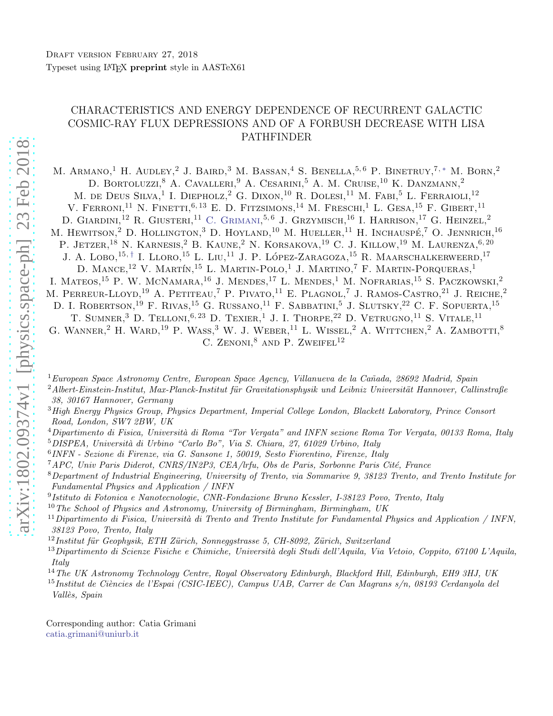# CHARACTERISTICS AND ENERGY DEPENDENCE OF RECURRENT GALACTIC COSMIC-RAY FLUX DEPRESSIONS AND OF A FORBUSH DECREASE WITH LISA PATHFINDER

M. ARMANO,<sup>1</sup> H. AUDLEY,<sup>2</sup> J. BAIRD,<sup>3</sup> M. BASSAN,<sup>4</sup> S. BENELLA,<sup>5,6</sup> P. BINETRUY,<sup>7,\*</sup> M. BORN,<sup>2</sup> D. BORTOLUZZI,<sup>8</sup> A. CAVALLERI,<sup>9</sup> A. CESARINI,<sup>5</sup> A. M. CRUISE,<sup>10</sup> K. DANZMANN,<sup>2</sup> M. DE DEUS SILVA,<sup>1</sup> I. DIEPHOLZ,<sup>2</sup> G. DIXON,<sup>10</sup> R. DOLESI,<sup>11</sup> M. FABI,<sup>5</sup> L. FERRAIOLI,<sup>12</sup> V. FERRONI,<sup>11</sup> N. FINETTI,<sup>6, 13</sup> E. D. FITZSIMONS,<sup>14</sup> M. FRESCHI,<sup>1</sup> L. GESA,<sup>15</sup> F. GIBERT,<sup>11</sup> D. GIARDINI,<sup>12</sup> R. GIUSTERI,<sup>11</sup> C. GRIMANI,<sup>5,6</sup> J. GRZYMISCH,<sup>16</sup> I. HARRISON,<sup>17</sup> G. HEINZEL,<sup>2</sup> M. HEWITSON,<sup>2</sup> D. HOLLINGTON,<sup>3</sup> D. HOYLAND,<sup>10</sup> M. HUELLER,<sup>11</sup> H. INCHAUSPÉ,<sup>7</sup> O. JENNRICH,<sup>16</sup> P. JETZER,<sup>18</sup> N. KARNESIS,<sup>2</sup> B. KAUNE,<sup>2</sup> N. KORSAKOVA,<sup>19</sup> C. J. KILLOW,<sup>19</sup> M. LAURENZA,<sup>6,20</sup> J. A. LOBO,<sup>15,[†](#page-1-1)</sup> I. LLORO,<sup>15</sup> L. LIU,<sup>11</sup> J. P. LÓPEZ-ZARAGOZA,<sup>15</sup> R. MAARSCHALKERWEERD,<sup>17</sup> D. MANCE,<sup>12</sup> V. MARTÍN,<sup>15</sup> L. MARTIN-POLO,<sup>1</sup> J. MARTINO,<sup>7</sup> F. MARTIN-PORQUERAS,<sup>1</sup> I. MATEOS,<sup>15</sup> P. W. MCNAMARA,<sup>16</sup> J. MENDES,<sup>17</sup> L. MENDES,<sup>1</sup> M. NOFRARIAS,<sup>15</sup> S. PACZKOWSKI,<sup>2</sup> M. PERREUR-LLOYD,<sup>19</sup> A. PETITEAU,<sup>7</sup> P. PIVATO,<sup>11</sup> E. PLAGNOL,<sup>7</sup> J. RAMOS-CASTRO,<sup>21</sup> J. REICHE,<sup>2</sup> D. I. ROBERTSON,<sup>19</sup> F. RIVAS,<sup>15</sup> G. RUSSANO,<sup>11</sup> F. SABBATINI,<sup>5</sup> J. SLUTSKY,<sup>22</sup> C. F. SOPUERTA,<sup>15</sup> T. SUMNER,<sup>3</sup> D. TELLONI,<sup>6, 23</sup> D. TEXIER,<sup>1</sup> J. I. THORPE,<sup>22</sup> D. VETRUGNO,<sup>11</sup> S. VITALE,<sup>11</sup> G. WANNER,<sup>2</sup> H. WARD,<sup>19</sup> P. WASS,<sup>3</sup> W. J. WEBER,<sup>11</sup> L. WISSEL,<sup>2</sup> A. WITTCHEN,<sup>2</sup> A. ZAMBOTTI,<sup>8</sup> C. ZENONI, $^8$  AND P. ZWEIFEL<sup>12</sup>

 $1$ European Space Astronomy Centre, European Space Agency, Villanueva de la Cañada, 28692 Madrid, Spain

 $2$ Albert-Einstein-Institut, Max-Planck-Institut für Gravitationsphysik und Leibniz Universität Hannover, Callinstraße 38, 30167 Hannover, Germany

<sup>3</sup>High Energy Physics Group, Physics Department, Imperial College London, Blackett Laboratory, Prince Consort Road, London, SW7 2BW, UK

- $^{4}$ Dipartimento di Fisica, Università di Roma "Tor Vergata" and INFN sezione Roma Tor Vergata, 00133 Roma, Italy  $5$ DISPEA, Università di Urbino "Carlo Bo", Via S. Chiara, 27, 61029 Urbino, Italy
- 6 INFN Sezione di Firenze, via G. Sansone 1, 50019, Sesto Fiorentino, Firenze, Italy

<sup>7</sup> APC, Univ Paris Diderot, CNRS/IN2P3, CEA/lrfu, Obs de Paris, Sorbonne Paris Cité, France

<sup>8</sup>Department of Industrial Engineering, University of Trento, via Sommarive 9, 38123 Trento, and Trento Institute for Fundamental Physics and Application / INFN

- 9 Istituto di Fotonica e Nanotecnologie, CNR-Fondazione Bruno Kessler, I-38123 Povo, Trento, Italy
- <sup>10</sup>The School of Physics and Astronomy, University of Birmingham, Birmingham, UK
- $11$ Dipartimento di Fisica, Università di Trento and Trento Institute for Fundamental Physics and Application / INFN, 38123 Povo, Trento, Italy
- $12$ Institut für Geophysik, ETH Zürich, Sonneggstrasse 5, CH-8092, Zürich, Switzerland
- $^{13}$ Dipartimento di Scienze Fisiche e Chimiche, Università degli Studi dell'Aquila, Via Vetoio, Coppito, 67100 L'Aquila, Italy
- $14$ The UK Astronomy Technology Centre, Royal Observatory Edinburgh, Blackford Hill, Edinburgh, EH9 3HJ, UK

 $15$ Institut de Ciències de l'Espai (CSIC-IEEC), Campus UAB, Carrer de Can Magrans s/n, 08193 Cerdanyola del Vallès, Spain

Corresponding author: Catia Grimani [catia.grimani@uniurb.it](mailto: catia.grimani@uniurb.it)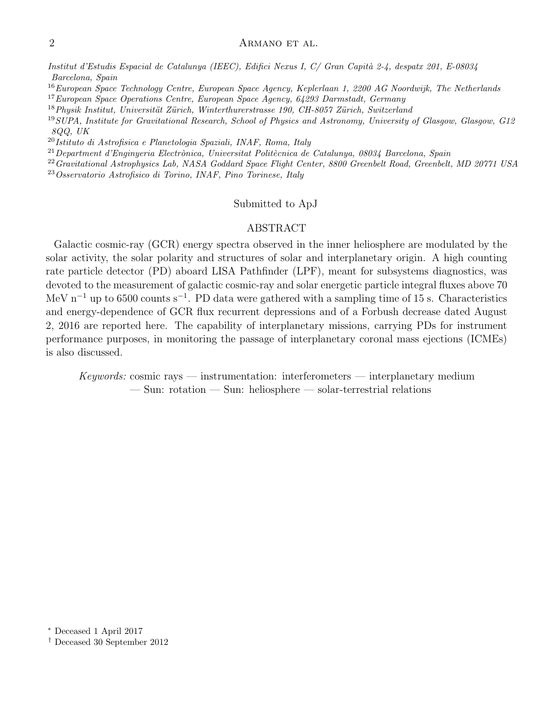Institut d'Estudis Espacial de Catalunya (IEEC), Edifici Nexus I, C/ Gran Capità 2-4, despatx 201, E-08034 Barcelona, Spain

<sup>16</sup>European Space Technology Centre, European Space Agency, Keplerlaan 1, 2200 AG Noordwijk, The Netherlands

<sup>17</sup> European Space Operations Centre, European Space Agency, 64293 Darmstadt, Germany

 $18$ Physik Institut, Universität Zürich, Winterthurerstrasse 190, CH-8057 Zürich, Switzerland

<sup>19</sup>SUPA, Institute for Gravitational Research, School of Physics and Astronomy, University of Glasgow, Glasgow, G12 8QQ, UK

 $20$ Istituto di Astrofisica e Planetologia Spaziali, INAF, Roma, Italy

 $^{21}$ Department d'Enginyeria Electrònica, Universitat Politècnica de Catalunya, 08034 Barcelona, Spain

<sup>22</sup> Gravitational Astrophysics Lab, NASA Goddard Space Flight Center, 8800 Greenbelt Road, Greenbelt, MD 20771 USA

<sup>23</sup>Osservatorio Astrofisico di Torino, INAF, Pino Torinese, Italy

## Submitted to ApJ

### ABSTRACT

Galactic cosmic-ray (GCR) energy spectra observed in the inner heliosphere are modulated by the solar activity, the solar polarity and structures of solar and interplanetary origin. A high counting rate particle detector (PD) aboard LISA Pathfinder (LPF), meant for subsystems diagnostics, was devoted to the measurement of galactic cosmic-ray and solar energetic particle integral fluxes above 70 MeV n<sup>-1</sup> up to 6500 counts s<sup>-1</sup>. PD data were gathered with a sampling time of 15 s. Characteristics and energy-dependence of GCR flux recurrent depressions and of a Forbush decrease dated August 2, 2016 are reported here. The capability of interplanetary missions, carrying PDs for instrument performance purposes, in monitoring the passage of interplanetary coronal mass ejections (ICMEs) is also discussed.

Keywords: cosmic rays — instrumentation: interferometers — interplanetary medium — Sun: rotation — Sun: heliosphere — solar-terrestrial relations

<span id="page-1-0"></span><sup>∗</sup> Deceased 1 April 2017

<span id="page-1-1"></span>† Deceased 30 September 2012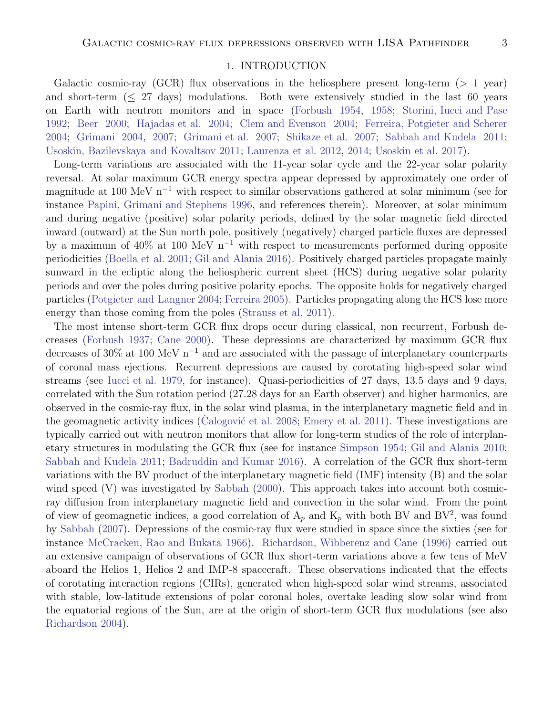### 1. INTRODUCTION

Galactic cosmic-ray (GCR) flux observations in the heliosphere present long-term ( $> 1$  year) and short-term  $(\leq 27 \text{ days})$  modulations. Both were extensively studied in the last 60 years on Earth with neutron monitors and in space [\(Forbush 1954,](#page-20-0) [1958;](#page-20-1) [Storini, Iucci and Pase](#page-21-0) [1992](#page-21-0); [Beer 2000](#page-20-2); [Hajadas et al. 2004;](#page-21-1) [Clem and Evenson 2004](#page-20-3); [Ferreira, Potgieter and Scherer](#page-20-4) [2004](#page-20-4); [Grimani 2004](#page-20-5), [2007;](#page-20-6) [Grimani et al. 2007;](#page-20-7) [Shikaze et al. 2007](#page-21-2); [Sabbah and Kudela 2011;](#page-21-3) [Usoskin, Bazilevskaya and Kovaltsov 2011;](#page-21-4) [Laurenza et al. 2012,](#page-21-5) [2014](#page-21-6); [Usoskin et al. 2017\)](#page-21-7).

Long-term variations are associated with the 11-year solar cycle and the 22-year solar polarity reversal. At solar maximum GCR energy spectra appear depressed by approximately one order of magnitude at 100 MeV n<sup>-1</sup> with respect to similar observations gathered at solar minimum (see for instance [Papini, Grimani and Stephens 1996](#page-21-8), and references therein). Moreover, at solar minimum and during negative (positive) solar polarity periods, defined by the solar magnetic field directed inward (outward) at the Sun north pole, positively (negatively) charged particle fluxes are depressed by a maximum of 40% at 100 MeV n<sup>-1</sup> with respect to measurements performed during opposite periodicities [\(Boella et al. 2001](#page-20-8); [Gil and Alania 2016](#page-20-9)). Positively charged particles propagate mainly sunward in the ecliptic along the heliospheric current sheet (HCS) during negative solar polarity periods and over the poles during positive polarity epochs. The opposite holds for negatively charged particles [\(Potgieter and Langner 2004;](#page-21-9) [Ferreira 2005](#page-20-10)). Particles propagating along the HCS lose more energy than those coming from the poles [\(Strauss et al. 2011\)](#page-21-10).

The most intense short-term GCR flux drops occur during classical, non recurrent, Forbush decreases [\(Forbush 1937;](#page-20-11) [Cane 2000\)](#page-20-12). These depressions are characterized by maximum GCR flux decreases of 30% at 100 MeV  $n^{-1}$  and are associated with the passage of interplanetary counterparts of coronal mass ejections. Recurrent depressions are caused by corotating high-speed solar wind streams (see [Iucci et al. 1979,](#page-21-11) for instance). Quasi-periodicities of 27 days, 13.5 days and 9 days, correlated with the Sun rotation period (27.28 days for an Earth observer) and higher harmonics, are observed in the cosmic-ray flux, in the solar wind plasma, in the interplanetary magnetic field and in the geomagnetic activity indices (Calogović et al. 2008; [Emery et al. 2011\)](#page-20-14). These investigations are typically carried out with neutron monitors that allow for long-term studies of the role of interplanetary structures in modulating the GCR flux (see for instance [Simpson 1954](#page-21-12); [Gil and Alania 2010;](#page-20-15) [Sabbah and Kudela 2011;](#page-21-3) [Badruddin and Kumar 2016\)](#page-20-16). A correlation of the GCR flux short-term variations with the BV product of the interplanetary magnetic field (IMF) intensity (B) and the solar wind speed (V) was investigated by [Sabbah](#page-21-13) [\(2000\)](#page-21-13). This approach takes into account both cosmicray diffusion from interplanetary magnetic field and convection in the solar wind. From the point of view of geomagnetic indices, a good correlation of  $A_p$  and  $K_p$  with both BV and BV<sup>2</sup>, was found by [Sabbah](#page-21-14) [\(2007\)](#page-21-14). Depressions of the cosmic-ray flux were studied in space since the sixties (see for instance [McCracken, Rao and Bukata 1966\)](#page-21-15). [Richardson, Wibberenz and Cane](#page-21-16) [\(1996](#page-21-16)) carried out an extensive campaign of observations of GCR flux short-term variations above a few tens of MeV aboard the Helios 1, Helios 2 and IMP-8 spacecraft. These observations indicated that the effects of corotating interaction regions (CIRs), generated when high-speed solar wind streams, associated with stable, low-latitude extensions of polar coronal holes, overtake leading slow solar wind from the equatorial regions of the Sun, are at the origin of short-term GCR flux modulations (see also [Richardson 2004](#page-21-17)).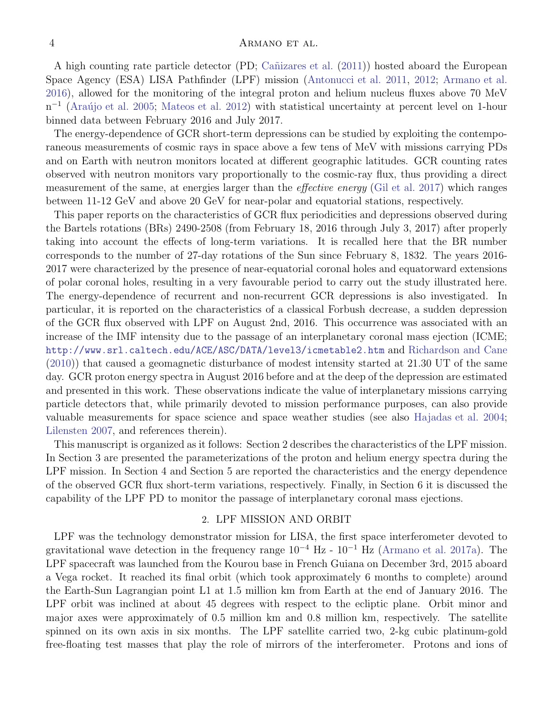A high counting rate particle detector (PD; Cañizares et al. [\(2011\)](#page-20-17)) hosted aboard the European Space Agency (ESA) LISA Pathfinder (LPF) mission [\(Antonucci et al. 2011,](#page-20-18) [2012;](#page-20-19) [Armano et al.](#page-20-20) [2016](#page-20-20)), allowed for the monitoring of the integral proton and helium nucleus fluxes above 70 MeV n<sup>-1</sup> (Araújo et al. 2005; [Mateos et al. 2012\)](#page-21-18) with statistical uncertainty at percent level on 1-hour binned data between February 2016 and July 2017.

The energy-dependence of GCR short-term depressions can be studied by exploiting the contemporaneous measurements of cosmic rays in space above a few tens of MeV with missions carrying PDs and on Earth with neutron monitors located at different geographic latitudes. GCR counting rates observed with neutron monitors vary proportionally to the cosmic-ray flux, thus providing a direct measurement of the same, at energies larger than the *effective energy* [\(Gil et al. 2017](#page-20-22)) which ranges between 11-12 GeV and above 20 GeV for near-polar and equatorial stations, respectively.

This paper reports on the characteristics of GCR flux periodicities and depressions observed during the Bartels rotations (BRs) 2490-2508 (from February 18, 2016 through July 3, 2017) after properly taking into account the effects of long-term variations. It is recalled here that the BR number corresponds to the number of 27-day rotations of the Sun since February 8, 1832. The years 2016- 2017 were characterized by the presence of near-equatorial coronal holes and equatorward extensions of polar coronal holes, resulting in a very favourable period to carry out the study illustrated here. The energy-dependence of recurrent and non-recurrent GCR depressions is also investigated. In particular, it is reported on the characteristics of a classical Forbush decrease, a sudden depression of the GCR flux observed with LPF on August 2nd, 2016. This occurrence was associated with an increase of the IMF intensity due to the passage of an interplanetary coronal mass ejection (ICME; <http://www.srl.caltech.edu/ACE/ASC/DATA/level3/icmetable2.htm> and [Richardson and Cane](#page-21-19) [\(2010\)](#page-21-19)) that caused a geomagnetic disturbance of modest intensity started at 21.30 UT of the same day. GCR proton energy spectra in August 2016 before and at the deep of the depression are estimated and presented in this work. These observations indicate the value of interplanetary missions carrying particle detectors that, while primarily devoted to mission performance purposes, can also provide valuable measurements for space science and space weather studies (see also [Hajadas et al. 2004;](#page-21-1) [Lilensten 2007,](#page-21-20) and references therein).

This manuscript is organized as it follows: Section 2 describes the characteristics of the LPF mission. In Section 3 are presented the parameterizations of the proton and helium energy spectra during the LPF mission. In Section 4 and Section 5 are reported the characteristics and the energy dependence of the observed GCR flux short-term variations, respectively. Finally, in Section 6 it is discussed the capability of the LPF PD to monitor the passage of interplanetary coronal mass ejections.

#### 2. LPF MISSION AND ORBIT

LPF was the technology demonstrator mission for LISA, the first space interferometer devoted to gravitational wave detection in the frequency range  $10^{-4}$  Hz -  $10^{-1}$  Hz [\(Armano et al. 2017a\)](#page-20-23). The LPF spacecraft was launched from the Kourou base in French Guiana on December 3rd, 2015 aboard a Vega rocket. It reached its final orbit (which took approximately 6 months to complete) around the Earth-Sun Lagrangian point L1 at 1.5 million km from Earth at the end of January 2016. The LPF orbit was inclined at about 45 degrees with respect to the ecliptic plane. Orbit minor and major axes were approximately of 0.5 million km and 0.8 million km, respectively. The satellite spinned on its own axis in six months. The LPF satellite carried two, 2-kg cubic platinum-gold free-floating test masses that play the role of mirrors of the interferometer. Protons and ions of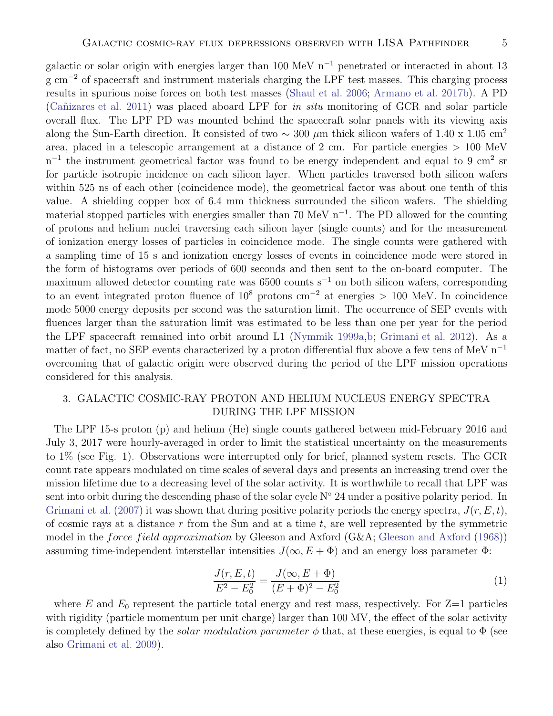galactic or solar origin with energies larger than 100 MeV  $n^{-1}$  penetrated or interacted in about 13 g cm<sup>-2</sup> of spacecraft and instrument materials charging the LPF test masses. This charging process results in spurious noise forces on both test masses [\(Shaul et al. 2006;](#page-21-21) [Armano et al. 2017b](#page-20-24)). A PD (Cañizares et al. 2011) was placed aboard LPF for in situ monitoring of GCR and solar particle overall flux. The LPF PD was mounted behind the spacecraft solar panels with its viewing axis along the Sun-Earth direction. It consisted of two  $\sim 300 \mu m$  thick silicon wafers of 1.40 x 1.05 cm<sup>2</sup> area, placed in a telescopic arrangement at a distance of 2 cm. For particle energies > 100 MeV  $n^{-1}$  the instrument geometrical factor was found to be energy independent and equal to 9 cm<sup>2</sup> sr for particle isotropic incidence on each silicon layer. When particles traversed both silicon wafers within 525 ns of each other (coincidence mode), the geometrical factor was about one tenth of this value. A shielding copper box of 6.4 mm thickness surrounded the silicon wafers. The shielding material stopped particles with energies smaller than 70 MeV n<sup>-1</sup>. The PD allowed for the counting of protons and helium nuclei traversing each silicon layer (single counts) and for the measurement of ionization energy losses of particles in coincidence mode. The single counts were gathered with a sampling time of 15 s and ionization energy losses of events in coincidence mode were stored in the form of histograms over periods of 600 seconds and then sent to the on-board computer. The maximum allowed detector counting rate was 6500 counts s<sup>-1</sup> on both silicon wafers, corresponding to an event integrated proton fluence of 10<sup>8</sup> protons cm<sup>-2</sup> at energies > 100 MeV. In coincidence mode 5000 energy deposits per second was the saturation limit. The occurrence of SEP events with fluences larger than the saturation limit was estimated to be less than one per year for the period the LPF spacecraft remained into orbit around L1 [\(Nymmik 1999a](#page-21-22)[,b](#page-21-23); [Grimani et al. 2012\)](#page-20-25). As a matter of fact, no SEP events characterized by a proton differential flux above a few tens of MeV  $n^{-1}$ overcoming that of galactic origin were observed during the period of the LPF mission operations considered for this analysis.

# 3. GALACTIC COSMIC-RAY PROTON AND HELIUM NUCLEUS ENERGY SPECTRA DURING THE LPF MISSION

The LPF 15-s proton (p) and helium (He) single counts gathered between mid-February 2016 and July 3, 2017 were hourly-averaged in order to limit the statistical uncertainty on the measurements to 1% (see Fig. 1). Observations were interrupted only for brief, planned system resets. The GCR count rate appears modulated on time scales of several days and presents an increasing trend over the mission lifetime due to a decreasing level of the solar activity. It is worthwhile to recall that LPF was sent into orbit during the descending phase of the solar cycle  $N° 24$  under a positive polarity period. In [Grimani et al.](#page-20-7) [\(2007\)](#page-20-7) it was shown that during positive polarity periods the energy spectra,  $J(r, E, t)$ , of cosmic rays at a distance r from the Sun and at a time t, are well represented by the symmetric model in the *force field approximation* by [Gleeson and Axford](#page-20-26) (G&A; Gleeson and Axford [\(1968\)](#page-20-26)) assuming time-independent interstellar intensities  $J(\infty, E + \Phi)$  and an energy loss parameter  $\Phi$ :

$$
\frac{J(r, E, t)}{E^2 - E_0^2} = \frac{J(\infty, E + \Phi)}{(E + \Phi)^2 - E_0^2}
$$
\n(1)

where E and  $E_0$  represent the particle total energy and rest mass, respectively. For  $Z=1$  particles with rigidity (particle momentum per unit charge) larger than 100 MV, the effect of the solar activity is completely defined by the *solar modulation parameter*  $\phi$  that, at these energies, is equal to  $\Phi$  (see also [Grimani et al. 2009\)](#page-20-27).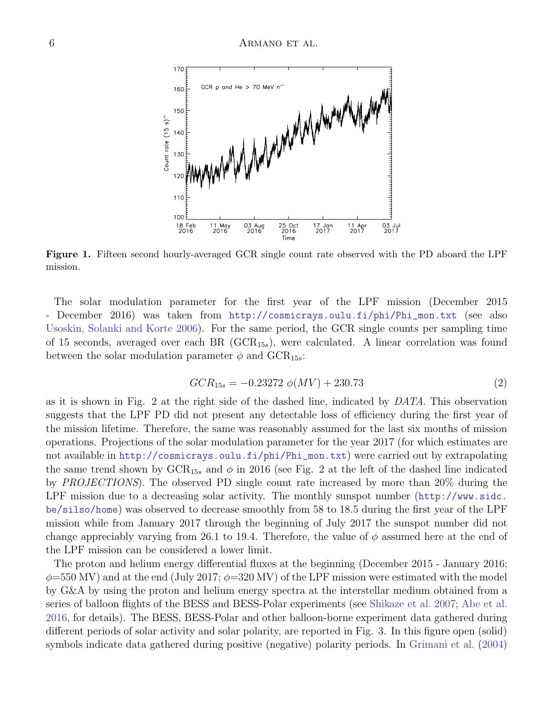

Figure 1. Fifteen second hourly-averaged GCR single count rate observed with the PD aboard the LPF mission.

The solar modulation parameter for the first year of the LPF mission (December 2015 - December 2016) was taken from [http://cosmicrays.oulu.fi/phi/Phi\\_mon.txt](http://cosmicrays.oulu.fi/phi/Phi_mon.txt) (see also [Usoskin, Solanki and Korte 2006\)](#page-21-24). For the same period, the GCR single counts per sampling time of 15 seconds, averaged over each BR (GCR<sup>15</sup>s), were calculated. A linear correlation was found between the solar modulation parameter  $\phi$  and GCR<sub>15s</sub>:

$$
GCR_{15s} = -0.23272 \phi(MV) + 230.73 \tag{2}
$$

as it is shown in Fig. 2 at the right side of the dashed line, indicated by DATA. This observation suggests that the LPF PD did not present any detectable loss of efficiency during the first year of the mission lifetime. Therefore, the same was reasonably assumed for the last six months of mission operations. Projections of the solar modulation parameter for the year 2017 (for which estimates are not available in [http://cosmicrays.oulu.fi/phi/Phi\\_mon.txt](http://cosmicrays.oulu.fi/phi/Phi_mon.txt)) were carried out by extrapolating the same trend shown by  $GCR_{15s}$  and  $\phi$  in 2016 (see Fig. 2 at the left of the dashed line indicated by PROJECTIONS). The observed PD single count rate increased by more than 20% during the LPF mission due to a decreasing solar activity. The monthly sunspot number ([http://www.sidc.](http://www.sidc.be/silso/home) [be/silso/home](http://www.sidc.be/silso/home)) was observed to decrease smoothly from 58 to 18.5 during the first year of the LPF mission while from January 2017 through the beginning of July 2017 the sunspot number did not change appreciably varying from 26.1 to 19.4. Therefore, the value of  $\phi$  assumed here at the end of the LPF mission can be considered a lower limit.

The proton and helium energy differential fluxes at the beginning (December 2015 - January 2016;  $\phi$ =550 MV) and at the end (July 2017;  $\phi$ =320 MV) of the LPF mission were estimated with the model by G&A by using the proton and helium energy spectra at the interstellar medium obtained from a series of balloon flights of the BESS and BESS-Polar experiments (see [Shikaze et al. 2007;](#page-21-2) [Abe et al.](#page-20-28) [2016](#page-20-28), for details). The BESS, BESS-Polar and other balloon-borne experiment data gathered during different periods of solar activity and solar polarity, are reported in Fig. 3. In this figure open (solid) symbols indicate data gathered during positive (negative) polarity periods. In [Grimani et al.](#page-20-29) [\(2004\)](#page-20-29)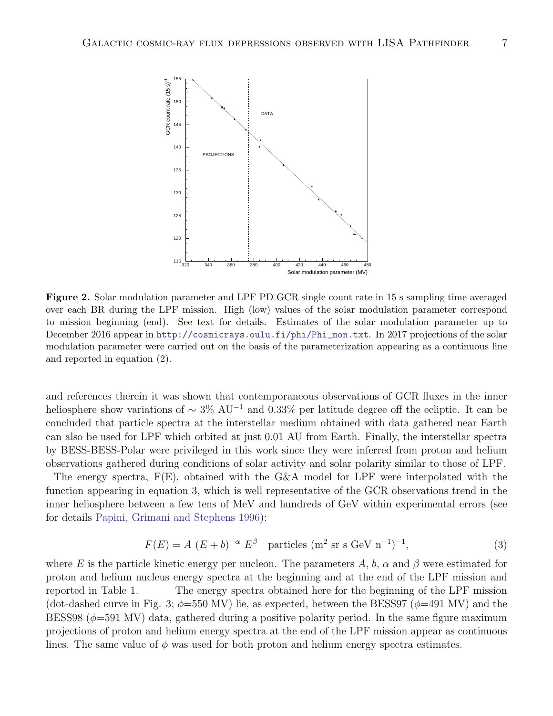

Figure 2. Solar modulation parameter and LPF PD GCR single count rate in 15 s sampling time averaged over each BR during the LPF mission. High (low) values of the solar modulation parameter correspond to mission beginning (end). See text for details. Estimates of the solar modulation parameter up to December 2016 appear in [http://cosmicrays.oulu.fi/phi/Phi\\_mon.txt](http://cosmicrays.oulu.fi/phi/Phi_mon.txt). In 2017 projections of the solar modulation parameter were carried out on the basis of the parameterization appearing as a continuous line and reported in equation (2).

and references therein it was shown that contemporaneous observations of GCR fluxes in the inner heliosphere show variations of  $\sim 3\%$  AU<sup>-1</sup> and 0.33% per latitude degree off the ecliptic. It can be concluded that particle spectra at the interstellar medium obtained with data gathered near Earth can also be used for LPF which orbited at just 0.01 AU from Earth. Finally, the interstellar spectra by BESS-BESS-Polar were privileged in this work since they were inferred from proton and helium observations gathered during conditions of solar activity and solar polarity similar to those of LPF.

The energy spectra,  $F(E)$ , obtained with the G&A model for LPF were interpolated with the function appearing in equation 3, which is well representative of the GCR observations trend in the inner heliosphere between a few tens of MeV and hundreds of GeV within experimental errors (see for details [Papini, Grimani and Stephens 1996\)](#page-21-8):

$$
F(E) = A (E + b)^{-\alpha} E^{\beta} \quad \text{particles } (\text{m}^2 \text{ sr s GeV n}^{-1})^{-1}, \tag{3}
$$

where E is the particle kinetic energy per nucleon. The parameters A, b,  $\alpha$  and  $\beta$  were estimated for proton and helium nucleus energy spectra at the beginning and at the end of the LPF mission and reported in Table 1. The energy spectra obtained here for the beginning of the LPF mission (dot-dashed curve in Fig. 3;  $\phi$ =550 MV) lie, as expected, between the BESS97 ( $\phi$ =491 MV) and the BESS98 ( $\phi$ =591 MV) data, gathered during a positive polarity period. In the same figure maximum projections of proton and helium energy spectra at the end of the LPF mission appear as continuous lines. The same value of  $\phi$  was used for both proton and helium energy spectra estimates.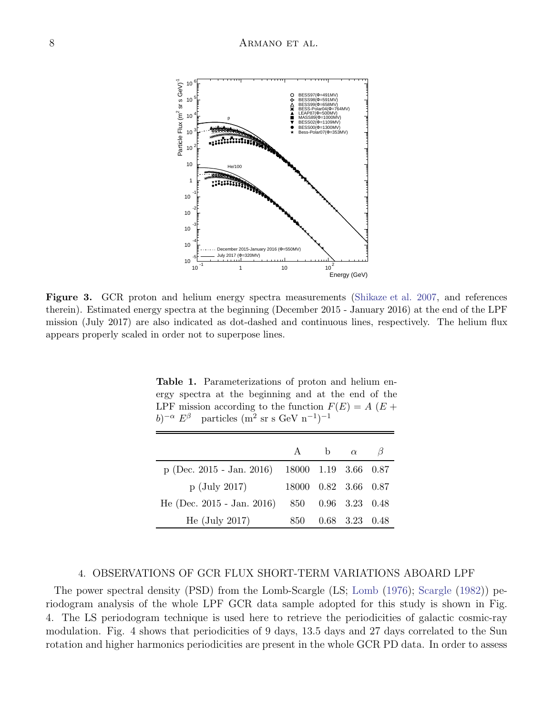

Figure 3. GCR proton and helium energy spectra measurements [\(Shikaze et al. 2007](#page-21-2), and references therein). Estimated energy spectra at the beginning (December 2015 - January 2016) at the end of the LPF mission (July 2017) are also indicated as dot-dashed and continuous lines, respectively. The helium flux appears properly scaled in order not to superpose lines.

Table 1. Parameterizations of proton and helium energy spectra at the beginning and at the end of the LPF mission according to the function  $F(E) = A(E +$  $(b)^{-\alpha} E^{\beta}$  $\alpha E^{\beta}$  particles (m<sup>2</sup> sr s GeV n<sup>-1</sup>)<sup>-1</sup>

|                                                |                         | A b $\alpha$ |                    |  |
|------------------------------------------------|-------------------------|--------------|--------------------|--|
| p (Dec. 2015 - Jan. 2016) 18000 1.19 3.66 0.87 |                         |              |                    |  |
| $p$ (July 2017)                                | 18000  0.82  3.66  0.87 |              |                    |  |
| He (Dec. 2015 - Jan. 2016) 850 0.96 3.23 0.48  |                         |              |                    |  |
| He $(\mathrm{July} \ 2017)$                    | 850.                    |              | $0.68$ 3.23 $0.48$ |  |

### 4. OBSERVATIONS OF GCR FLUX SHORT-TERM VARIATIONS ABOARD LPF

The power spectral density (PSD) from the Lomb-Scargle (LS; [Lomb](#page-21-25) [\(1976\)](#page-21-25); [Scargle](#page-21-26) [\(1982\)](#page-21-26)) periodogram analysis of the whole LPF GCR data sample adopted for this study is shown in Fig. 4. The LS periodogram technique is used here to retrieve the periodicities of galactic cosmic-ray modulation. Fig. 4 shows that periodicities of 9 days, 13.5 days and 27 days correlated to the Sun rotation and higher harmonics periodicities are present in the whole GCR PD data. In order to assess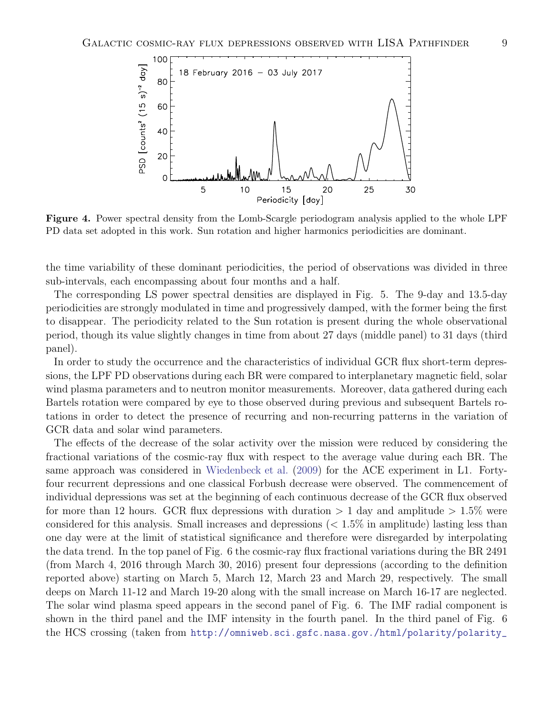

Figure 4. Power spectral density from the Lomb-Scargle periodogram analysis applied to the whole LPF PD data set adopted in this work. Sun rotation and higher harmonics periodicities are dominant.

the time variability of these dominant periodicities, the period of observations was divided in three sub-intervals, each encompassing about four months and a half.

The corresponding LS power spectral densities are displayed in Fig. 5. The 9-day and 13.5-day periodicities are strongly modulated in time and progressively damped, with the former being the first to disappear. The periodicity related to the Sun rotation is present during the whole observational period, though its value slightly changes in time from about 27 days (middle panel) to 31 days (third panel).

In order to study the occurrence and the characteristics of individual GCR flux short-term depressions, the LPF PD observations during each BR were compared to interplanetary magnetic field, solar wind plasma parameters and to neutron monitor measurements. Moreover, data gathered during each Bartels rotation were compared by eye to those observed during previous and subsequent Bartels rotations in order to detect the presence of recurring and non-recurring patterns in the variation of GCR data and solar wind parameters.

The effects of the decrease of the solar activity over the mission were reduced by considering the fractional variations of the cosmic-ray flux with respect to the average value during each BR. The same approach was considered in [Wiedenbeck et al.](#page-21-27) [\(2009\)](#page-21-27) for the ACE experiment in L1. Fortyfour recurrent depressions and one classical Forbush decrease were observed. The commencement of individual depressions was set at the beginning of each continuous decrease of the GCR flux observed for more than 12 hours. GCR flux depressions with duration  $> 1$  day and amplitude  $> 1.5\%$  were considered for this analysis. Small increases and depressions  $\langle 2.1.5\%$  in amplitude) lasting less than one day were at the limit of statistical significance and therefore were disregarded by interpolating the data trend. In the top panel of Fig. 6 the cosmic-ray flux fractional variations during the BR 2491 (from March 4, 2016 through March 30, 2016) present four depressions (according to the definition reported above) starting on March 5, March 12, March 23 and March 29, respectively. The small deeps on March 11-12 and March 19-20 along with the small increase on March 16-17 are neglected. The solar wind plasma speed appears in the second panel of Fig. 6. The IMF radial component is shown in the third panel and the IMF intensity in the fourth panel. In the third panel of Fig. 6 the HCS crossing (taken from [http://omniweb.sci.gsfc.nasa.gov./html/polarity/polarity\\_](http://omniweb.sci.gsfc.nasa.gov./html/polarity/polarity_tab.html)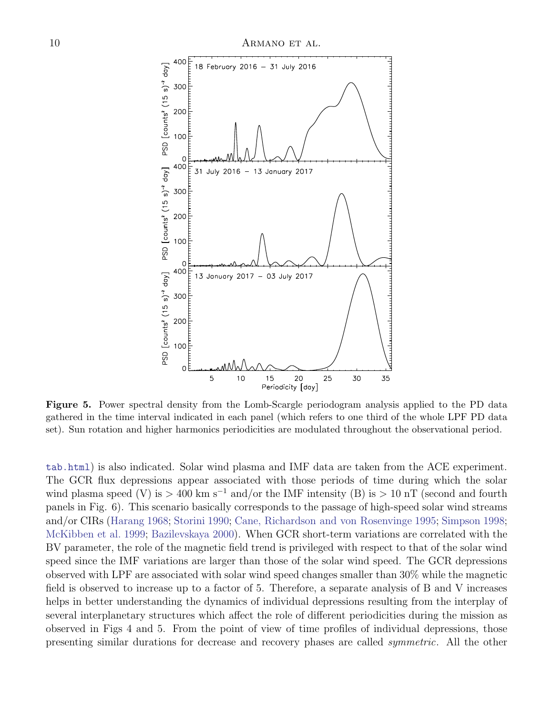

Figure 5. Power spectral density from the Lomb-Scargle periodogram analysis applied to the PD data gathered in the time interval indicated in each panel (which refers to one third of the whole LPF PD data set). Sun rotation and higher harmonics periodicities are modulated throughout the observational period.

[tab.html](http://omniweb.sci.gsfc.nasa.gov./html/polarity/polarity_tab.html)) is also indicated. Solar wind plasma and IMF data are taken from the ACE experiment. The GCR flux depressions appear associated with those periods of time during which the solar wind plasma speed (V) is > 400 km s<sup>-1</sup> and/or the IMF intensity (B) is > 10 nT (second and fourth panels in Fig. 6). This scenario basically corresponds to the passage of high-speed solar wind streams and/or CIRs [\(Harang 1968](#page-21-28); [Storini 1990;](#page-21-29) [Cane, Richardson and von Rosenvinge 1995;](#page-20-30) [Simpson 1998;](#page-21-30) [McKibben et al. 1999;](#page-21-31) [Bazilevskaya 2000](#page-20-31)). When GCR short-term variations are correlated with the BV parameter, the role of the magnetic field trend is privileged with respect to that of the solar wind speed since the IMF variations are larger than those of the solar wind speed. The GCR depressions observed with LPF are associated with solar wind speed changes smaller than 30% while the magnetic field is observed to increase up to a factor of 5. Therefore, a separate analysis of B and V increases helps in better understanding the dynamics of individual depressions resulting from the interplay of several interplanetary structures which affect the role of different periodicities during the mission as observed in Figs 4 and 5. From the point of view of time profiles of individual depressions, those presenting similar durations for decrease and recovery phases are called symmetric. All the other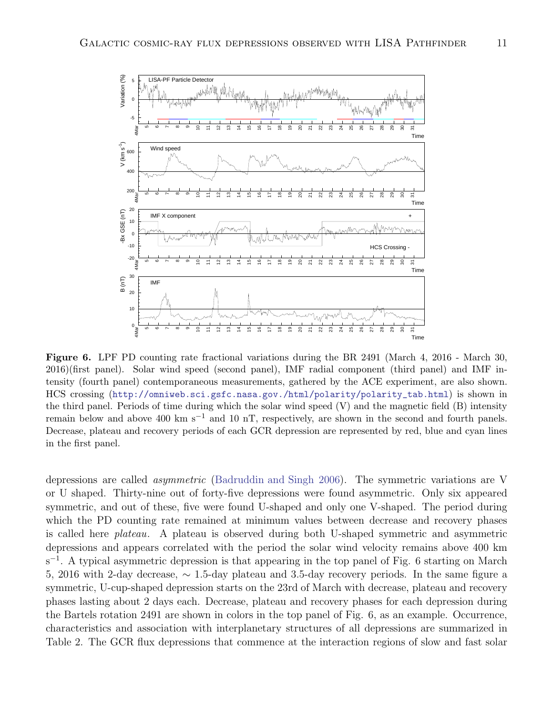

Figure 6. LPF PD counting rate fractional variations during the BR 2491 (March 4, 2016 - March 30, 2016)(first panel). Solar wind speed (second panel), IMF radial component (third panel) and IMF intensity (fourth panel) contemporaneous measurements, gathered by the ACE experiment, are also shown. HCS crossing ([http://omniweb.sci.gsfc.nasa.gov./html/polarity/polarity\\_tab.html](http://omniweb.sci.gsfc.nasa.gov./html/polarity/polarity_tab.html)) is shown in the third panel. Periods of time during which the solar wind speed (V) and the magnetic field (B) intensity remain below and above 400 km s<sup>-1</sup> and 10 nT, respectively, are shown in the second and fourth panels. Decrease, plateau and recovery periods of each GCR depression are represented by red, blue and cyan lines in the first panel.

depressions are called *asymmetric* [\(Badruddin and Singh 2006\)](#page-20-32). The symmetric variations are V or U shaped. Thirty-nine out of forty-five depressions were found asymmetric. Only six appeared symmetric, and out of these, five were found U-shaped and only one V-shaped. The period during which the PD counting rate remained at minimum values between decrease and recovery phases is called here plateau. A plateau is observed during both U-shaped symmetric and asymmetric depressions and appears correlated with the period the solar wind velocity remains above 400 km s<sup>-1</sup>. A typical asymmetric depression is that appearing in the top panel of Fig. 6 starting on March 5, 2016 with 2-day decrease, ∼ 1.5-day plateau and 3.5-day recovery periods. In the same figure a symmetric, U-cup-shaped depression starts on the 23rd of March with decrease, plateau and recovery phases lasting about 2 days each. Decrease, plateau and recovery phases for each depression during the Bartels rotation 2491 are shown in colors in the top panel of Fig. 6, as an example. Occurrence, characteristics and association with interplanetary structures of all depressions are summarized in Table 2. The GCR flux depressions that commence at the interaction regions of slow and fast solar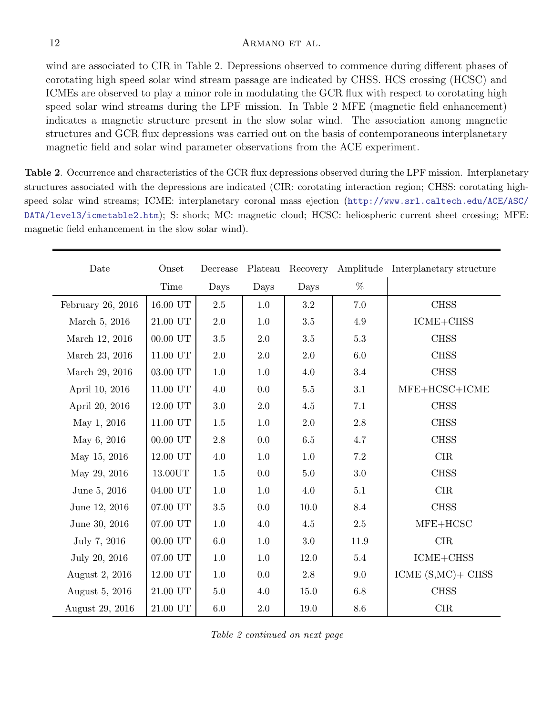wind are associated to CIR in Table 2. Depressions observed to commence during different phases of corotating high speed solar wind stream passage are indicated by CHSS. HCS crossing (HCSC) and ICMEs are observed to play a minor role in modulating the GCR flux with respect to corotating high speed solar wind streams during the LPF mission. In Table 2 MFE (magnetic field enhancement) indicates a magnetic structure present in the slow solar wind. The association among magnetic structures and GCR flux depressions was carried out on the basis of contemporaneous interplanetary magnetic field and solar wind parameter observations from the ACE experiment.

Table 2. Occurrence and characteristics of the GCR flux depressions observed during the LPF mission. Interplanetary structures associated with the depressions are indicated (CIR: corotating interaction region; CHSS: corotating highspeed solar wind streams; ICME: interplanetary coronal mass ejection ([http://www.srl.caltech.edu/ACE/ASC/](http://www.srl.caltech.edu/ACE/ASC/DATA/level3/icmetable2.htm) [DATA/level3/icmetable2.htm](http://www.srl.caltech.edu/ACE/ASC/DATA/level3/icmetable2.htm)); S: shock; MC: magnetic cloud; HCSC: heliospheric current sheet crossing; MFE: magnetic field enhancement in the slow solar wind).

| Date              | Onset                | Decrease | Plateau | Recovery |         | Amplitude Interplanetary structure |  |
|-------------------|----------------------|----------|---------|----------|---------|------------------------------------|--|
|                   | Time                 | Days     | Days    | Days     | %       |                                    |  |
| February 26, 2016 | $16.00$ UT           | $2.5\,$  | $1.0\,$ | 3.2      | 7.0     | <b>CHSS</b>                        |  |
| March 5, 2016     | $21.00$ UT $\,$      | 2.0      | $1.0\,$ | 3.5      | 4.9     | $ICME + CHSS$                      |  |
| March 12, 2016    | $00.00$ UT           | $3.5\,$  | 2.0     | 3.5      | $5.3\,$ | <b>CHSS</b>                        |  |
| March 23, 2016    | $11.00$ UT           | $2.0\,$  | 2.0     | 2.0      | 6.0     | <b>CHSS</b>                        |  |
| March 29, 2016    | $03.00\ \mathrm{UT}$ | $1.0\,$  | 1.0     | 4.0      | $3.4\,$ | <b>CHSS</b>                        |  |
| April 10, 2016    | $11.00$ UT           | 4.0      | 0.0     | $5.5\,$  | 3.1     | $MFE+HCSC+ICME$                    |  |
| April 20, 2016    | $12.00$ UT $\,$      | $3.0\,$  | $2.0\,$ | $4.5\,$  | 7.1     | <b>CHSS</b>                        |  |
| May 1, 2016       | $11.00$ UT $\,$      | $1.5\,$  | $1.0\,$ | 2.0      | $2.8\,$ | <b>CHSS</b>                        |  |
| May 6, 2016       | $00.00$ UT           | 2.8      | 0.0     | 6.5      | 4.7     | <b>CHSS</b>                        |  |
| May 15, 2016      | 12.00 UT             | 4.0      | 1.0     | 1.0      | 7.2     | CIR                                |  |
| May 29, 2016      | 13.00UT              | 1.5      | 0.0     | 5.0      | 3.0     | <b>CHSS</b>                        |  |
| June 5, 2016      | 04.00 UT             | 1.0      | 1.0     | 4.0      | 5.1     | CIR                                |  |
| June 12, 2016     | $07.00$ UT           | 3.5      | 0.0     | 10.0     | 8.4     | <b>CHSS</b>                        |  |
| June 30, 2016     | $07.00$ UT           | $1.0\,$  | 4.0     | $4.5\,$  | $2.5\,$ | $MFE+HCSC$                         |  |
| July 7, 2016      | $00.00$ UT           | 6.0      | 1.0     | 3.0      | 11.9    | CIR                                |  |
| July 20, 2016     | 07.00 UT             | 1.0      | 1.0     | 12.0     | 5.4     | ICME+CHSS                          |  |
| August 2, 2016    | $12.00$ UT $\,$      | $1.0\,$  | 0.0     | $2.8\,$  | 9.0     | ICME $(S, MC)$ + CHSS              |  |
| August 5, 2016    | $21.00$ UT           | $5.0\,$  | 4.0     | 15.0     | $6.8\,$ | <b>CHSS</b>                        |  |
| August 29, 2016   | $21.00~\mathrm{UT}$  | $6.0\,$  | $2.0\,$ | 19.0     | 8.6     | CIR                                |  |

Table 2 continued on next page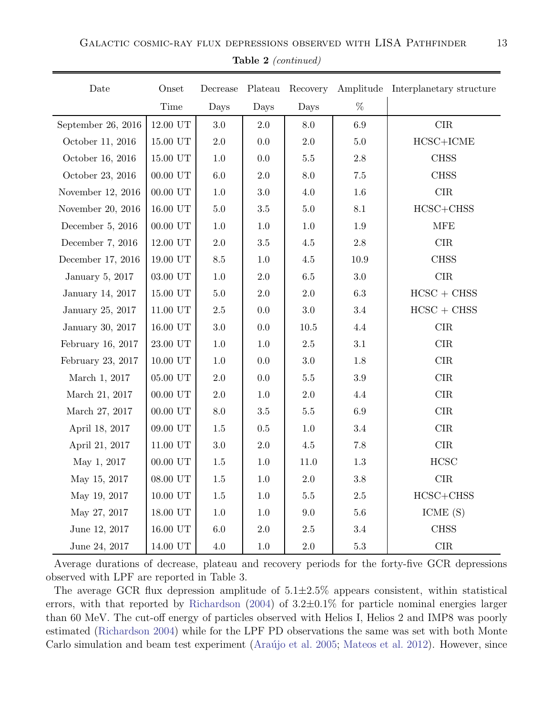| Date               | Onset                | Decrease        | Plateau | Recovery |          | Amplitude Interplanetary structure |
|--------------------|----------------------|-----------------|---------|----------|----------|------------------------------------|
|                    | Time                 | Days            | Days    | Days     | %        |                                    |
| September 26, 2016 | $12.00$ UT           | $3.0\,$         | 2.0     | 8.0      | $6.9\,$  | CIR                                |
| October 11, 2016   | 15.00 UT             | $2.0\,$         | 0.0     | $2.0\,$  | $5.0\,$  | $\operatorname{HCSC+ICME}$         |
| October 16, 2016   | $15.00$ UT           | $1.0\,$         | $0.0\,$ | $5.5\,$  | $2.8\,$  | <b>CHSS</b>                        |
| October 23, 2016   | $00.00$ UT           | $6.0\,$         | $2.0\,$ | 8.0      | $7.5\,$  | <b>CHSS</b>                        |
| November 12, 2016  | $00.00$ UT           | 1.0             | $3.0\,$ | 4.0      | $1.6\,$  | $\rm CIR$                          |
| November 20, 2016  | $16.00$ UT $\,$      | $5.0\,$         | $3.5\,$ | 5.0      | 8.1      | $HCSC+CHSS$                        |
| December $5, 2016$ | $00.00$ UT           | 1.0             | 1.0     | 1.0      | 1.9      | <b>MFE</b>                         |
| December 7, 2016   | 12.00 UT             | $2.0\,$         | $3.5\,$ | 4.5      | $2.8\,$  | $\rm CIR$                          |
| December 17, 2016  | $19.00$ UT           | $\!\!\!\!\!8.5$ | $1.0\,$ | $4.5\,$  | $10.9\,$ | <b>CHSS</b>                        |
| January 5, 2017    | $03.00\ \mathrm{UT}$ | $1.0\,$         | 2.0     | $6.5\,$  | $3.0\,$  | CIR                                |
| January 14, 2017   | 15.00 UT             | $5.0\,$         | $2.0\,$ | $2.0\,$  | $6.3\,$  | $HCSC + CHSS$                      |
| January 25, 2017   | $11.00$ UT           | $2.5\,$         | 0.0     | $3.0\,$  | 3.4      | $HCSC + CHSS$                      |
| January 30, 2017   | $16.00$ UT           | $3.0\,$         | 0.0     | $10.5\,$ | 4.4      | CIR                                |
| February 16, 2017  | $23.00\ \mathrm{UT}$ | $1.0\,$         | $1.0\,$ | $2.5\,$  | $3.1\,$  | CIR                                |
| February 23, 2017  | $10.00$ UT           | 1.0             | 0.0     | $3.0\,$  | 1.8      | $\rm CIR$                          |
| March 1, 2017      | $05.00$ UT           | $2.0\,$         | $0.0\,$ | $5.5\,$  | $3.9\,$  | CIR                                |

Table 2 (continued)

 $=$ 

Average durations of decrease, plateau and recovery periods for the forty-five GCR depressions observed with LPF are reported in Table 3.

May 19, 2017 | 10.00 UT | 1.5 | 1.0 | 5.5 | 2.5 | HCSC+CHSS May 27, 2017 | 18.00 UT | 1.0 | 1.0 | 9.0 | 5.6 | ICME (S) June 12, 2017 | 16.00 UT | 6.0 | 2.0 | 2.5 | 3.4 | CHSS June 24, 2017 | 14.00 UT | 4.0 | 1.0 | 2.0 | 5.3 | CIR

March 21, 2017 | 00.00 UT | 2.0 | 1.0 | 2.0 | 4.4 | CIR March 27, 2017 | 00.00 UT | 8.0 | 3.5 | 5.5 | 6.9 | CIR April 18, 2017 | 09.00 UT | 1.5 | 0.5 | 1.0 | 3.4 | CIR April 21, 2017 | 11.00 UT | 3.0 | 2.0 | 4.5 | 7.8 | CIR May 1, 2017 | 00.00 UT | 1.5 | 1.0 | 11.0 | 1.3 | HCSC May 15, 2017 | 08.00 UT | 1.5 | 1.0 | 2.0 | 3.8 | CIR

The average GCR flux depression amplitude of  $5.1 \pm 2.5\%$  appears consistent, within statistical errors, with that reported by [Richardson](#page-21-17) [\(2004\)](#page-21-17) of  $3.2\pm0.1\%$  for particle nominal energies larger than 60 MeV. The cut-off energy of particles observed with Helios I, Helios 2 and IMP8 was poorly estimated [\(Richardson 2004](#page-21-17)) while for the LPF PD observations the same was set with both Monte Carlo simulation and beam test experiment (Araújo et al. 2005; [Mateos et al. 2012](#page-21-18)). However, since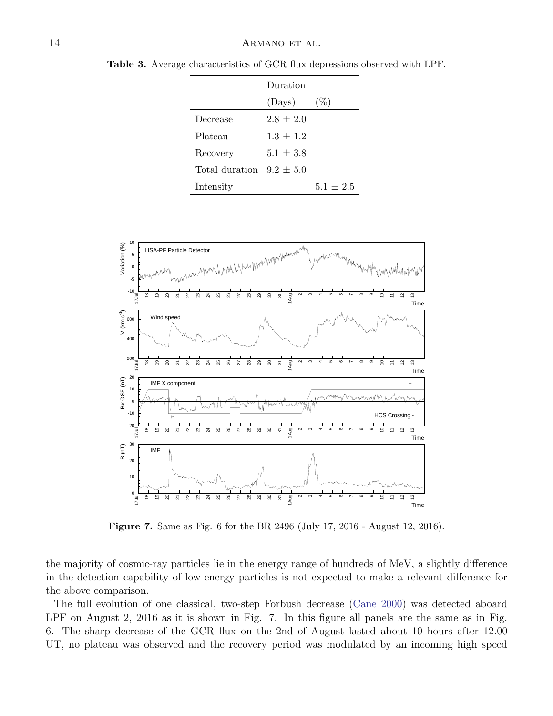|                              | Duration    |             |
|------------------------------|-------------|-------------|
|                              | (Days)      | $(\%)$      |
| Decrease                     | $2.8 + 2.0$ |             |
| Plateau                      | $1.3 + 1.2$ |             |
| Recovery                     | $5.1 + 3.8$ |             |
| Total duration $9.2 \pm 5.0$ |             |             |
| Intensity                    |             | $5.1 + 2.5$ |

Table 3. Average characteristics of GCR flux depressions observed with LPF.



Figure 7. Same as Fig. 6 for the BR 2496 (July 17, 2016 - August 12, 2016).

the majority of cosmic-ray particles lie in the energy range of hundreds of MeV, a slightly difference in the detection capability of low energy particles is not expected to make a relevant difference for the above comparison.

The full evolution of one classical, two-step Forbush decrease [\(Cane 2000\)](#page-20-12) was detected aboard LPF on August 2, 2016 as it is shown in Fig. 7. In this figure all panels are the same as in Fig. 6. The sharp decrease of the GCR flux on the 2nd of August lasted about 10 hours after 12.00 UT, no plateau was observed and the recovery period was modulated by an incoming high speed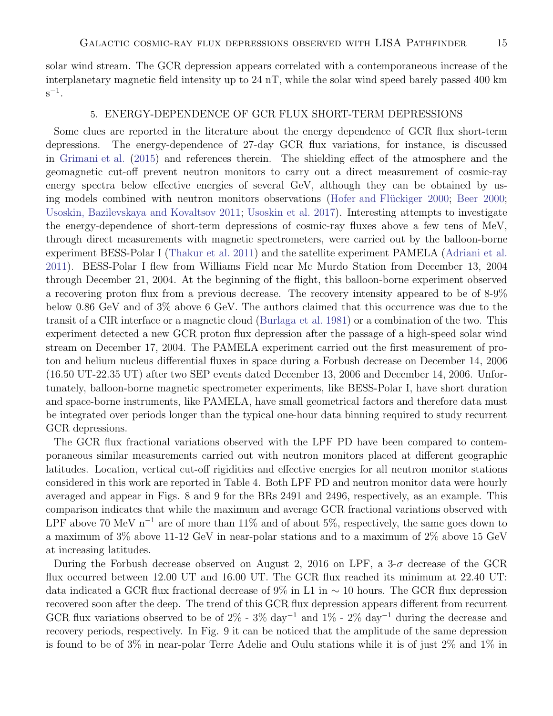solar wind stream. The GCR depression appears correlated with a contemporaneous increase of the interplanetary magnetic field intensity up to 24 nT, while the solar wind speed barely passed 400 km  $s^{-1}$ .

### 5. ENERGY-DEPENDENCE OF GCR FLUX SHORT-TERM DEPRESSIONS

Some clues are reported in the literature about the energy dependence of GCR flux short-term depressions. The energy-dependence of 27-day GCR flux variations, for instance, is discussed in [Grimani et al.](#page-20-33) [\(2015\)](#page-20-33) and references therein. The shielding effect of the atmosphere and the geomagnetic cut-off prevent neutron monitors to carry out a direct measurement of cosmic-ray energy spectra below effective energies of several GeV, although they can be obtained by us-ing models combined with neutron monitors observations (Hofer and Flückiger 2000; [Beer 2000;](#page-20-2) [Usoskin, Bazilevskaya and Kovaltsov 2011;](#page-21-4) [Usoskin et al. 2017](#page-21-7)). Interesting attempts to investigate the energy-dependence of short-term depressions of cosmic-ray fluxes above a few tens of MeV, through direct measurements with magnetic spectrometers, were carried out by the balloon-borne experiment BESS-Polar I [\(Thakur et al. 2011\)](#page-21-33) and the satellite experiment PAMELA [\(Adriani et al.](#page-20-34) [2011](#page-20-34)). BESS-Polar I flew from Williams Field near Mc Murdo Station from December 13, 2004 through December 21, 2004. At the beginning of the flight, this balloon-borne experiment observed a recovering proton flux from a previous decrease. The recovery intensity appeared to be of 8-9% below 0.86 GeV and of 3% above 6 GeV. The authors claimed that this occurrence was due to the transit of a CIR interface or a magnetic cloud [\(Burlaga et al. 1981](#page-20-35)) or a combination of the two. This experiment detected a new GCR proton flux depression after the passage of a high-speed solar wind stream on December 17, 2004. The PAMELA experiment carried out the first measurement of proton and helium nucleus differential fluxes in space during a Forbush decrease on December 14, 2006 (16.50 UT-22.35 UT) after two SEP events dated December 13, 2006 and December 14, 2006. Unfortunately, balloon-borne magnetic spectrometer experiments, like BESS-Polar I, have short duration and space-borne instruments, like PAMELA, have small geometrical factors and therefore data must be integrated over periods longer than the typical one-hour data binning required to study recurrent GCR depressions.

The GCR flux fractional variations observed with the LPF PD have been compared to contemporaneous similar measurements carried out with neutron monitors placed at different geographic latitudes. Location, vertical cut-off rigidities and effective energies for all neutron monitor stations considered in this work are reported in Table 4. Both LPF PD and neutron monitor data were hourly averaged and appear in Figs. 8 and 9 for the BRs 2491 and 2496, respectively, as an example. This comparison indicates that while the maximum and average GCR fractional variations observed with LPF above 70 MeV n<sup>-1</sup> are of more than 11% and of about 5%, respectively, the same goes down to a maximum of 3% above 11-12 GeV in near-polar stations and to a maximum of 2% above 15 GeV at increasing latitudes.

During the Forbush decrease observed on August 2, 2016 on LPF, a  $3-\sigma$  decrease of the GCR flux occurred between 12.00 UT and 16.00 UT. The GCR flux reached its minimum at 22.40 UT: data indicated a GCR flux fractional decrease of 9% in L1 in  $\sim$  10 hours. The GCR flux depression recovered soon after the deep. The trend of this GCR flux depression appears different from recurrent GCR flux variations observed to be of 2% -  $3\%$  day<sup>-1</sup> and  $1\%$  -  $2\%$  day<sup>-1</sup> during the decrease and recovery periods, respectively. In Fig. 9 it can be noticed that the amplitude of the same depression is found to be of 3% in near-polar Terre Adelie and Oulu stations while it is of just 2% and 1% in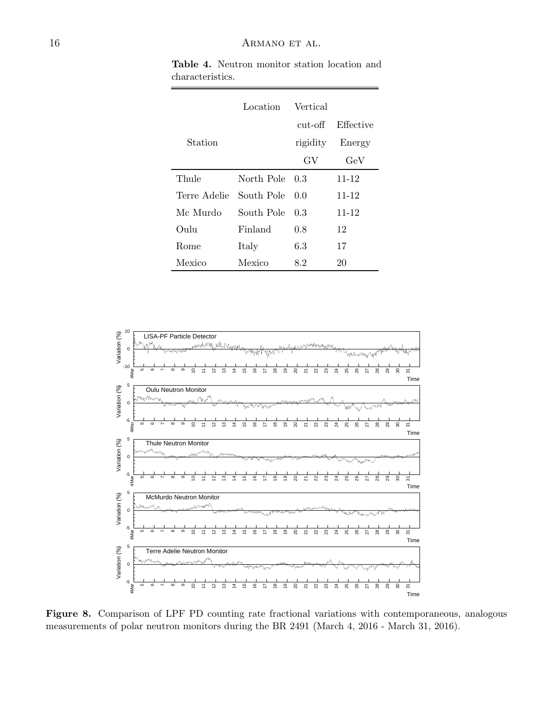|              | Location   | <b>Vertical</b> |           |
|--------------|------------|-----------------|-----------|
|              |            | $cut-off$       | Effective |
| Station      |            | rigidity        | Energy    |
|              |            | GV              | $\rm GeV$ |
| Thule        | North Pole | - 0.3           | $11 - 12$ |
| Terre Adelie | South Pole | 0.0             | $11 - 12$ |
| Mc Murdo     | South Pole | 0.3             | $11 - 12$ |
| Oulu         | Finland    | 0.8             | 12        |
| Rome         | Italy      | 6.3             | 17        |
| Mexico       | Mexico     | 8.2             | 20        |

Table 4. Neutron monitor station location and characteristics.

![](_page_15_Figure_3.jpeg)

Figure 8. Comparison of LPF PD counting rate fractional variations with contemporaneous, analogous measurements of polar neutron monitors during the BR 2491 (March 4, 2016 - March 31, 2016).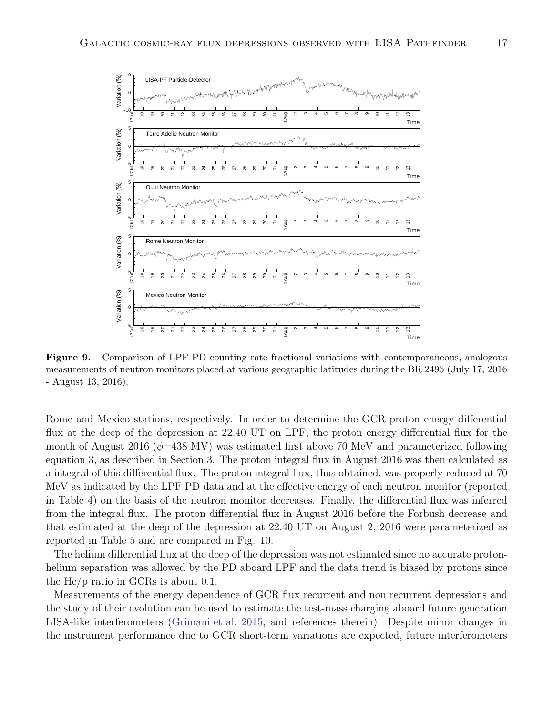![](_page_16_Figure_1.jpeg)

Figure 9. Comparison of LPF PD counting rate fractional variations with contemporaneous, analogous measurements of neutron monitors placed at various geographic latitudes during the BR 2496 (July 17, 2016 - August 13, 2016).

Rome and Mexico stations, respectively. In order to determine the GCR proton energy differential flux at the deep of the depression at 22.40 UT on LPF, the proton energy differential flux for the month of August 2016 ( $\phi$ =438 MV) was estimated first above 70 MeV and parameterized following equation 3, as described in Section 3. The proton integral flux in August 2016 was then calculated as a integral of this differential flux. The proton integral flux, thus obtained, was properly reduced at 70 MeV as indicated by the LPF PD data and at the effective energy of each neutron monitor (reported in Table 4) on the basis of the neutron monitor decreases. Finally, the differential flux was inferred from the integral flux. The proton differential flux in August 2016 before the Forbush decrease and that estimated at the deep of the depression at 22.40 UT on August 2, 2016 were parameterized as reported in Table 5 and are compared in Fig. 10.

The helium differential flux at the deep of the depression was not estimated since no accurate protonhelium separation was allowed by the PD aboard LPF and the data trend is biased by protons since the He/p ratio in GCRs is about 0.1.

Measurements of the energy dependence of GCR flux recurrent and non recurrent depressions and the study of their evolution can be used to estimate the test-mass charging aboard future generation LISA-like interferometers [\(Grimani et al. 2015,](#page-20-33) and references therein). Despite minor changes in the instrument performance due to GCR short-term variations are expected, future interferometers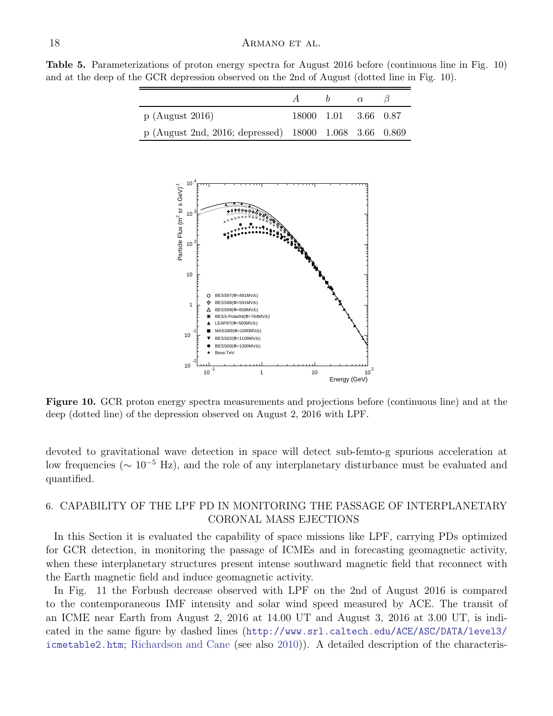Table 5. Parameterizations of proton energy spectra for August 2016 before (continuous line in Fig. 10) and at the deep of the GCR depression observed on the 2nd of August (dotted line in Fig. 10).

|                                                        | $A \qquad b$         | $\alpha$ |  |
|--------------------------------------------------------|----------------------|----------|--|
| $p$ (August 2016)                                      | 18000 1.01 3.66 0.87 |          |  |
| p (August 2nd, 2016; depressed) 18000 1.068 3.66 0.869 |                      |          |  |

![](_page_17_Figure_3.jpeg)

Figure 10. GCR proton energy spectra measurements and projections before (continuous line) and at the deep (dotted line) of the depression observed on August 2, 2016 with LPF.

devoted to gravitational wave detection in space will detect sub-femto-g spurious acceleration at low frequencies ( $\sim 10^{-5}$  Hz), and the role of any interplanetary disturbance must be evaluated and quantified.

## 6. CAPABILITY OF THE LPF PD IN MONITORING THE PASSAGE OF INTERPLANETARY CORONAL MASS EJECTIONS

In this Section it is evaluated the capability of space missions like LPF, carrying PDs optimized for GCR detection, in monitoring the passage of ICMEs and in forecasting geomagnetic activity, when these interplanetary structures present intense southward magnetic field that reconnect with the Earth magnetic field and induce geomagnetic activity.

In Fig. 11 the Forbush decrease observed with LPF on the 2nd of August 2016 is compared to the contemporaneous IMF intensity and solar wind speed measured by ACE. The transit of an ICME near Earth from August 2, 2016 at 14.00 UT and August 3, 2016 at 3.00 UT, is indicated in the same figure by dashed lines ([http://www.srl.caltech.edu/ACE/ASC/DATA/level3/](http://www.srl.caltech.edu/ACE/ASC/DATA/level3/icmetable2.htm) [icmetable2.htm](http://www.srl.caltech.edu/ACE/ASC/DATA/level3/icmetable2.htm); [Richardson and Cane](#page-21-19) (see also [2010\)](#page-21-19)). A detailed description of the characteris-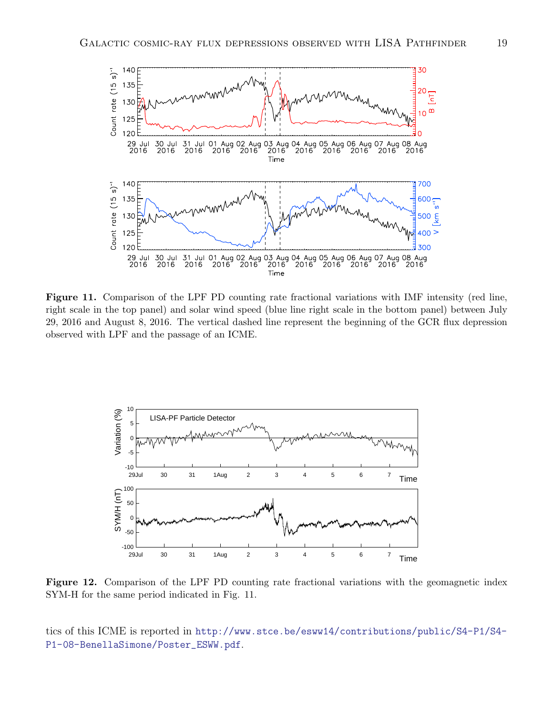![](_page_18_Figure_1.jpeg)

Figure 11. Comparison of the LPF PD counting rate fractional variations with IMF intensity (red line, right scale in the top panel) and solar wind speed (blue line right scale in the bottom panel) between July 29, 2016 and August 8, 2016. The vertical dashed line represent the beginning of the GCR flux depression observed with LPF and the passage of an ICME.

![](_page_18_Figure_3.jpeg)

Figure 12. Comparison of the LPF PD counting rate fractional variations with the geomagnetic index SYM-H for the same period indicated in Fig. 11.

tics of this ICME is reported in [http://www.stce.be/esww14/contributions/public/S4-P1/S4-](http://www.stce.be/esww14/contributions/public/S4-P1/S4-P1-08-BenellaSimone/Poster_ESWW.pdf) [P1-08-BenellaSimone/Poster\\_ESWW.pdf](http://www.stce.be/esww14/contributions/public/S4-P1/S4-P1-08-BenellaSimone/Poster_ESWW.pdf).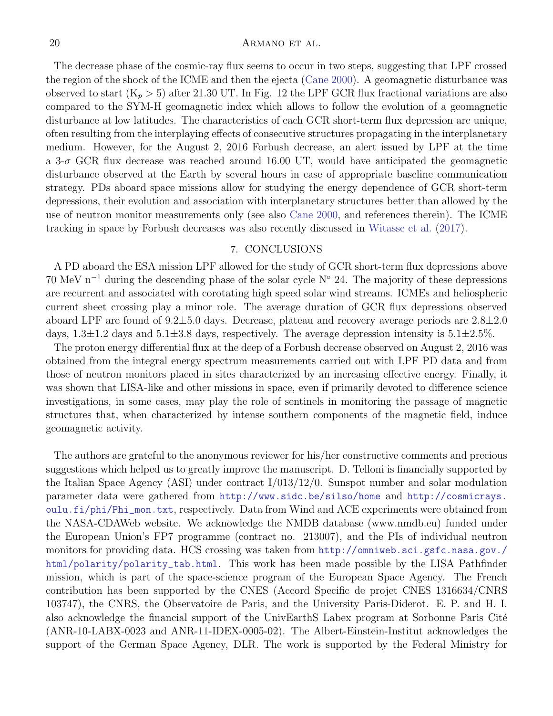The decrease phase of the cosmic-ray flux seems to occur in two steps, suggesting that LPF crossed the region of the shock of the ICME and then the ejecta [\(Cane 2000](#page-20-12)). A geomagnetic disturbance was observed to start  $(K_p > 5)$  after 21.30 UT. In Fig. 12 the LPF GCR flux fractional variations are also compared to the SYM-H geomagnetic index which allows to follow the evolution of a geomagnetic disturbance at low latitudes. The characteristics of each GCR short-term flux depression are unique, often resulting from the interplaying effects of consecutive structures propagating in the interplanetary medium. However, for the August 2, 2016 Forbush decrease, an alert issued by LPF at the time a 3- $\sigma$  GCR flux decrease was reached around 16.00 UT, would have anticipated the geomagnetic disturbance observed at the Earth by several hours in case of appropriate baseline communication strategy. PDs aboard space missions allow for studying the energy dependence of GCR short-term depressions, their evolution and association with interplanetary structures better than allowed by the use of neutron monitor measurements only (see also [Cane 2000](#page-20-12), and references therein). The ICME tracking in space by Forbush decreases was also recently discussed in [Witasse et al.](#page-21-34) [\(2017](#page-21-34)).

### 7. CONCLUSIONS

A PD aboard the ESA mission LPF allowed for the study of GCR short-term flux depressions above 70 MeV n<sup>-1</sup> during the descending phase of the solar cycle N<sup>°</sup> 24. The majority of these depressions are recurrent and associated with corotating high speed solar wind streams. ICMEs and heliospheric current sheet crossing play a minor role. The average duration of GCR flux depressions observed aboard LPF are found of  $9.2 \pm 5.0$  days. Decrease, plateau and recovery average periods are  $2.8 \pm 2.0$ days,  $1.3\pm1.2$  days and  $5.1\pm3.8$  days, respectively. The average depression intensity is  $5.1\pm2.5\%$ .

The proton energy differential flux at the deep of a Forbush decrease observed on August 2, 2016 was obtained from the integral energy spectrum measurements carried out with LPF PD data and from those of neutron monitors placed in sites characterized by an increasing effective energy. Finally, it was shown that LISA-like and other missions in space, even if primarily devoted to difference science investigations, in some cases, may play the role of sentinels in monitoring the passage of magnetic structures that, when characterized by intense southern components of the magnetic field, induce geomagnetic activity.

The authors are grateful to the anonymous reviewer for his/her constructive comments and precious suggestions which helped us to greatly improve the manuscript. D. Telloni is financially supported by the Italian Space Agency (ASI) under contract I/013/12/0. Sunspot number and solar modulation parameter data were gathered from <http://www.sidc.be/silso/home> and [http://cosmicrays.](http://cosmicrays.oulu.fi/phi/Phi_mon.txt) [oulu.fi/phi/Phi\\_mon.txt](http://cosmicrays.oulu.fi/phi/Phi_mon.txt), respectively. Data from Wind and ACE experiments were obtained from the NASA-CDAWeb website. We acknowledge the NMDB database (www.nmdb.eu) funded under the European Union's FP7 programme (contract no. 213007), and the PIs of individual neutron monitors for providing data. HCS crossing was taken from [http://omniweb.sci.gsfc.nasa.gov./](http://omniweb.sci.gsfc.nasa.gov./html/polarity/polarity_tab.html) [html/polarity/polarity\\_tab.html](http://omniweb.sci.gsfc.nasa.gov./html/polarity/polarity_tab.html). This work has been made possible by the LISA Pathfinder mission, which is part of the space-science program of the European Space Agency. The French contribution has been supported by the CNES (Accord Specific de projet CNES 1316634/CNRS 103747), the CNRS, the Observatoire de Paris, and the University Paris-Diderot. E. P. and H. I. also acknowledge the financial support of the UnivEarthS Labex program at Sorbonne Paris Cité (ANR-10-LABX-0023 and ANR-11-IDEX-0005-02). The Albert-Einstein-Institut acknowledges the support of the German Space Agency, DLR. The work is supported by the Federal Ministry for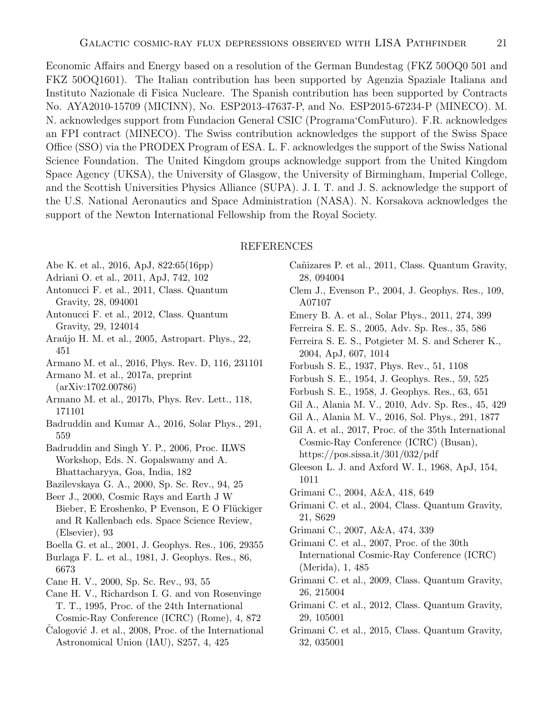Economic Affairs and Energy based on a resolution of the German Bundestag (FKZ 50OQ0 501 and FKZ 50OQ1601). The Italian contribution has been supported by Agenzia Spaziale Italiana and Instituto Nazionale di Fisica Nucleare. The Spanish contribution has been supported by Contracts No. AYA2010-15709 (MICINN), No. ESP2013-47637-P, and No. ESP2015-67234-P (MINECO). M. N. acknowledges support from Fundacion General CSIC (Programa'ComFuturo). F.R. acknowledges an FPI contract (MINECO). The Swiss contribution acknowledges the support of the Swiss Space Office (SSO) via the PRODEX Program of ESA. L. F. acknowledges the support of the Swiss National Science Foundation. The United Kingdom groups acknowledge support from the United Kingdom Space Agency (UKSA), the University of Glasgow, the University of Birmingham, Imperial College, and the Scottish Universities Physics Alliance (SUPA). J. I. T. and J. S. acknowledge the support of the U.S. National Aeronautics and Space Administration (NASA). N. Korsakova acknowledges the support of the Newton International Fellowship from the Royal Society.

### REFERENCES

- <span id="page-20-28"></span>Abe K. et al., 2016, ApJ, 822:65(16pp)
- <span id="page-20-34"></span>Adriani O. et al., 2011, ApJ, 742, 102
- <span id="page-20-18"></span>Antonucci F. et al., 2011, Class. Quantum Gravity, 28, 094001
- <span id="page-20-19"></span>Antonucci F. et al., 2012, Class. Quantum Gravity, 29, 124014
- <span id="page-20-21"></span>Araújo H. M. et al., 2005, Astropart. Phys., 22, 451
- <span id="page-20-20"></span>Armano M. et al., 2016, Phys. Rev. D, 116, 231101
- <span id="page-20-23"></span>Armano M. et al., 2017a, preprint (arXiv:1702.00786)
- <span id="page-20-24"></span>Armano M. et al., 2017b, Phys. Rev. Lett., 118, 171101
- <span id="page-20-16"></span>Badruddin and Kumar A., 2016, Solar Phys., 291, 559
- <span id="page-20-32"></span>Badruddin and Singh Y. P., 2006, Proc. ILWS Workshop, Eds. N. Gopalswamy and A. Bhattacharyya, Goa, India, 182
- <span id="page-20-31"></span>Bazilevskaya G. A., 2000, Sp. Sc. Rev., 94, 25
- <span id="page-20-2"></span>Beer J., 2000, Cosmic Rays and Earth J W Bieber, E Eroshenko, P Evenson, E O Flückiger and R Kallenbach eds. Space Science Review, (Elsevier), 93
- <span id="page-20-8"></span>Boella G. et al., 2001, J. Geophys. Res., 106, 29355
- <span id="page-20-35"></span>Burlaga F. L. et al., 1981, J. Geophys. Res., 86, 6673
- <span id="page-20-12"></span>Cane H. V., 2000, Sp. Sc. Rev., 93, 55
- <span id="page-20-30"></span>Cane H. V., Richardson I. G. and von Rosenvinge T. T., 1995, Proc. of the 24th International Cosmic-Ray Conference (ICRC) (Rome), 4, 872
- <span id="page-20-13"></span>Calogović J. et al., 2008, Proc. of the International Astronomical Union (IAU), S257, 4, 425
- <span id="page-20-17"></span>Cañizares P. et al., 2011, Class. Quantum Gravity, 28, 094004
- <span id="page-20-3"></span>Clem J., Evenson P., 2004, J. Geophys. Res., 109, A07107
- <span id="page-20-14"></span>Emery B. A. et al., Solar Phys., 2011, 274, 399
- <span id="page-20-10"></span>Ferreira S. E. S., 2005, Adv. Sp. Res., 35, 586
- <span id="page-20-4"></span>Ferreira S. E. S., Potgieter M. S. and Scherer K., 2004, ApJ, 607, 1014
- <span id="page-20-11"></span>Forbush S. E., 1937, Phys. Rev., 51, 1108
- <span id="page-20-0"></span>Forbush S. E., 1954, J. Geophys. Res., 59, 525
- <span id="page-20-1"></span>Forbush S. E., 1958, J. Geophys. Res., 63, 651
- <span id="page-20-15"></span>Gil A., Alania M. V., 2010, Adv. Sp. Res., 45, 429
- <span id="page-20-9"></span>Gil A., Alania M. V., 2016, Sol. Phys., 291, 1877
- <span id="page-20-22"></span>Gil A. et al., 2017, Proc. of the 35th International Cosmic-Ray Conference (ICRC) (Busan), https://pos.sissa.it/301/032/pdf
- <span id="page-20-26"></span>Gleeson L. J. and Axford W. I., 1968, ApJ, 154, 1011
- <span id="page-20-5"></span>Grimani C., 2004, A&A, 418, 649
- <span id="page-20-29"></span>Grimani C. et al., 2004, Class. Quantum Gravity, 21, S629
- <span id="page-20-6"></span>Grimani C., 2007, A&A, 474, 339
- <span id="page-20-7"></span>Grimani C. et al., 2007, Proc. of the 30th International Cosmic-Ray Conference (ICRC) (Merida), 1, 485
- <span id="page-20-27"></span>Grimani C. et al., 2009, Class. Quantum Gravity, 26, 215004
- <span id="page-20-25"></span>Grimani C. et al., 2012, Class. Quantum Gravity, 29, 105001
- <span id="page-20-33"></span>Grimani C. et al., 2015, Class. Quantum Gravity, 32, 035001